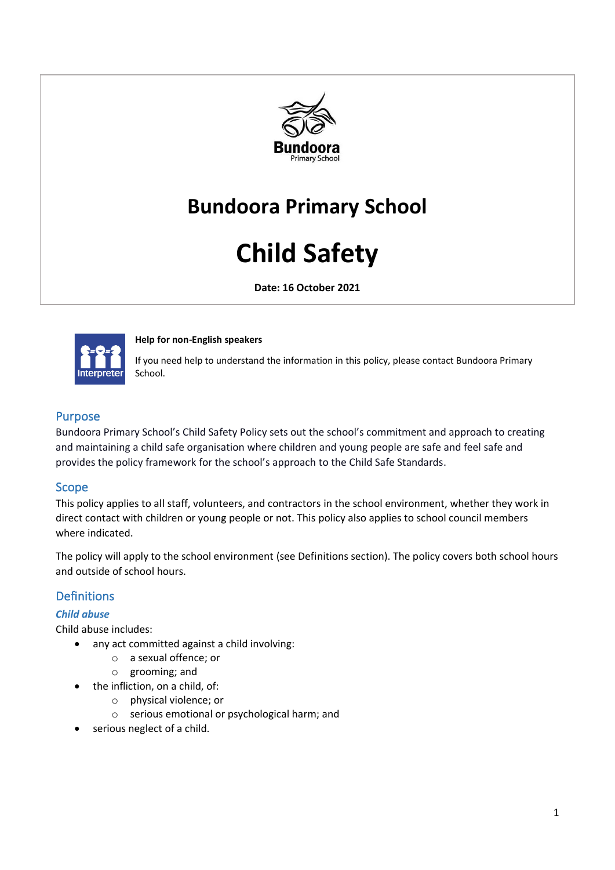

# **Bundoora Primary School**

# **Child Safety**

**Date: 16 October 2021**



#### **Help for non-English speakers**

If you need help to understand the information in this policy, please contact Bundoora Primary School.

### Purpose

Bundoora Primary School's Child Safety Policy sets out the school's commitment and approach to creating and maintaining a child safe organisation where children and young people are safe and feel safe and provides the policy framework for the school's approach to the Child Safe Standards.

#### Scope

This policy applies to all staff, volunteers, and contractors in the school environment, whether they work in direct contact with children or young people or not. This policy also applies to school council members where indicated.

The policy will apply to the school environment (see Definitions section). The policy covers both school hours and outside of school hours.

# Definitions

#### *Child abuse*

Child abuse includes:

- any act committed against a child involving:
	- o a sexual offence; or
	- o grooming; and
	- the infliction, on a child, of:
		- o physical violence; or
		- o serious emotional or psychological harm; and
- serious neglect of a child.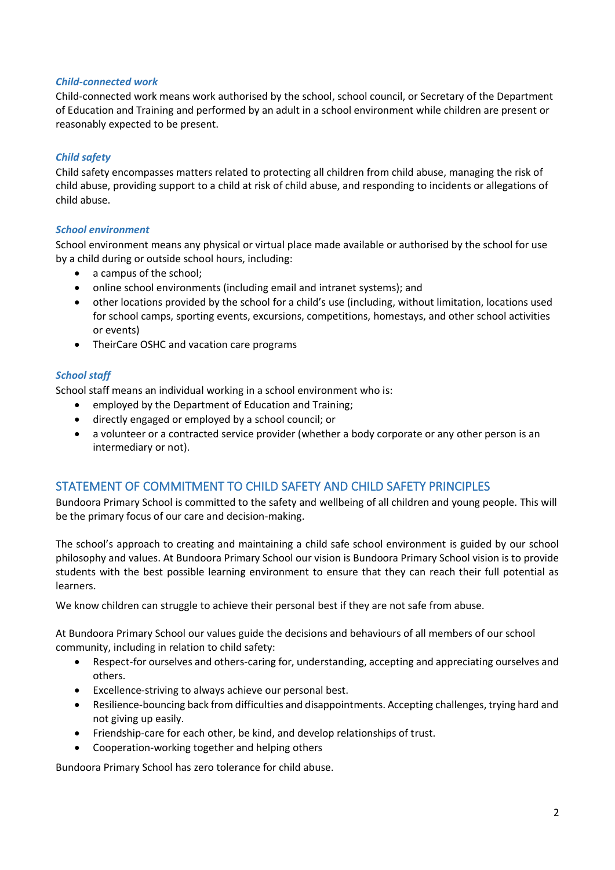#### *Child-connected work*

Child-connected work means work authorised by the school, school council, or Secretary of the Department of Education and Training and performed by an adult in a school environment while children are present or reasonably expected to be present.

#### *Child safety*

Child safety encompasses matters related to protecting all children from child abuse, managing the risk of child abuse, providing support to a child at risk of child abuse, and responding to incidents or allegations of child abuse.

#### *School environment*

School environment means any physical or virtual place made available or authorised by the school for use by a child during or outside school hours, including:

- a campus of the school;
- online school environments (including email and intranet systems); and
- other locations provided by the school for a child's use (including, without limitation, locations used for school camps, sporting events, excursions, competitions, homestays, and other school activities or events)
- TheirCare OSHC and vacation care programs

#### *School staff*

School staff means an individual working in a school environment who is:

- employed by the Department of Education and Training;
- directly engaged or employed by a school council; or
- a volunteer or a contracted service provider (whether a body corporate or any other person is an intermediary or not).

# STATEMENT OF COMMITMENT TO CHILD SAFETY AND CHILD SAFETY PRINCIPLES

Bundoora Primary School is committed to the safety and wellbeing of all children and young people. This will be the primary focus of our care and decision-making.

The school's approach to creating and maintaining a child safe school environment is guided by our school philosophy and values. At Bundoora Primary School our vision is Bundoora Primary School vision is to provide students with the best possible learning environment to ensure that they can reach their full potential as learners.

We know children can struggle to achieve their personal best if they are not safe from abuse.

At Bundoora Primary School our values guide the decisions and behaviours of all members of our school community, including in relation to child safety:

- Respect-for ourselves and others-caring for, understanding, accepting and appreciating ourselves and others.
- Excellence-striving to always achieve our personal best.
- Resilience-bouncing back from difficulties and disappointments. Accepting challenges, trying hard and not giving up easily.
- Friendship-care for each other, be kind, and develop relationships of trust.
- Cooperation-working together and helping others

Bundoora Primary School has zero tolerance for child abuse.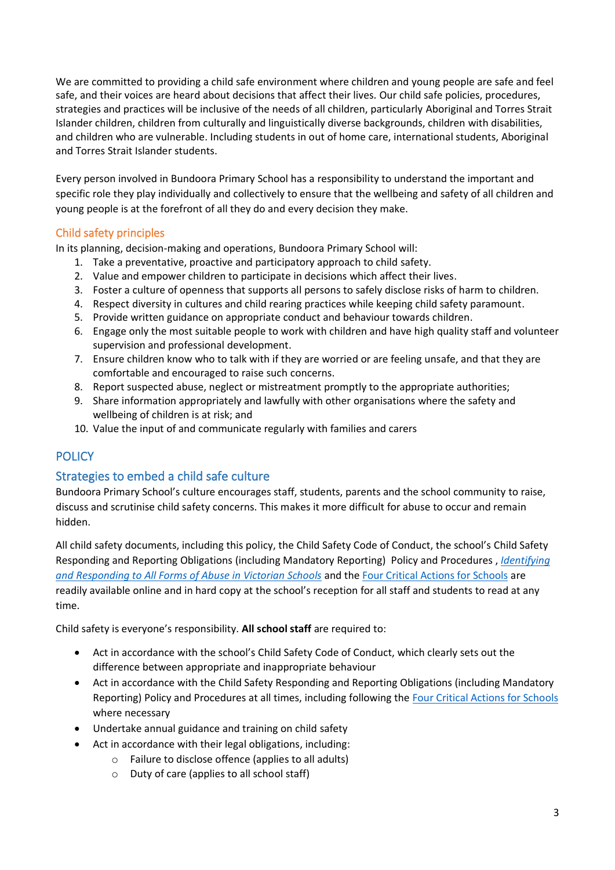We are committed to providing a child safe environment where children and young people are safe and feel safe, and their voices are heard about decisions that affect their lives. Our child safe policies, procedures, strategies and practices will be inclusive of the needs of all children, particularly Aboriginal and Torres Strait Islander children, children from culturally and linguistically diverse backgrounds, children with disabilities, and children who are vulnerable. Including students in out of home care, international students, Aboriginal and Torres Strait Islander students.

Every person involved in Bundoora Primary School has a responsibility to understand the important and specific role they play individually and collectively to ensure that the wellbeing and safety of all children and young people is at the forefront of all they do and every decision they make.

# Child safety principles

In its planning, decision-making and operations, Bundoora Primary School will:

- 1. Take a preventative, proactive and participatory approach to child safety.
- 2. Value and empower children to participate in decisions which affect their lives.
- 3. Foster a culture of openness that supports all persons to safely disclose risks of harm to children.
- 4. Respect diversity in cultures and child rearing practices while keeping child safety paramount.
- 5. Provide written guidance on appropriate conduct and behaviour towards children.
- 6. Engage only the most suitable people to work with children and have high quality staff and volunteer supervision and professional development.
- 7. Ensure children know who to talk with if they are worried or are feeling unsafe, and that they are comfortable and encouraged to raise such concerns.
- 8. Report suspected abuse, neglect or mistreatment promptly to the appropriate authorities;
- 9. Share information appropriately and lawfully with other organisations where the safety and wellbeing of children is at risk; and
- 10. Value the input of and communicate regularly with families and carers

# **POLICY**

# Strategies to embed a child safe culture

Bundoora Primary School's culture encourages staff, students, parents and the school community to raise, discuss and scrutinise child safety concerns. This makes it more difficult for abuse to occur and remain hidden.

All child safety documents, including this policy, the Child Safety Code of Conduct, the school's Child Safety Responding and Reporting Obligations (including Mandatory Reporting) Policy and Procedures , *[Identifying](https://www.education.vic.gov.au/Documents/about/programs/health/protect/ChildSafeStandard5_SchoolsGuide.pdf)  [and Responding to All Forms of Abuse in Victorian Schools](https://www.education.vic.gov.au/Documents/about/programs/health/protect/ChildSafeStandard5_SchoolsGuide.pdf)* and th[e Four Critical Actions for Schools](https://www.education.vic.gov.au/Documents/about/programs/health/protect/FourCriticalActions_ChildAbuse.pdf) are readily available online and in hard copy at the school's reception for all staff and students to read at any time.

Child safety is everyone's responsibility. **All school staff** are required to:

- Act in accordance with the school's Child Safety Code of Conduct, which clearly sets out the difference between appropriate and inappropriate behaviour
- Act in accordance with the Child Safety Responding and Reporting Obligations (including Mandatory Reporting) Policy and Procedures at all times, including following the [Four Critical Actions for Schools](https://www.education.vic.gov.au/Documents/about/programs/health/protect/FourCriticalActions_ChildAbuse.pdf) where necessary
- Undertake annual guidance and training on child safety
- Act in accordance with their legal obligations, including:
	- o Failure to disclose offence (applies to all adults)
	- o Duty of care (applies to all school staff)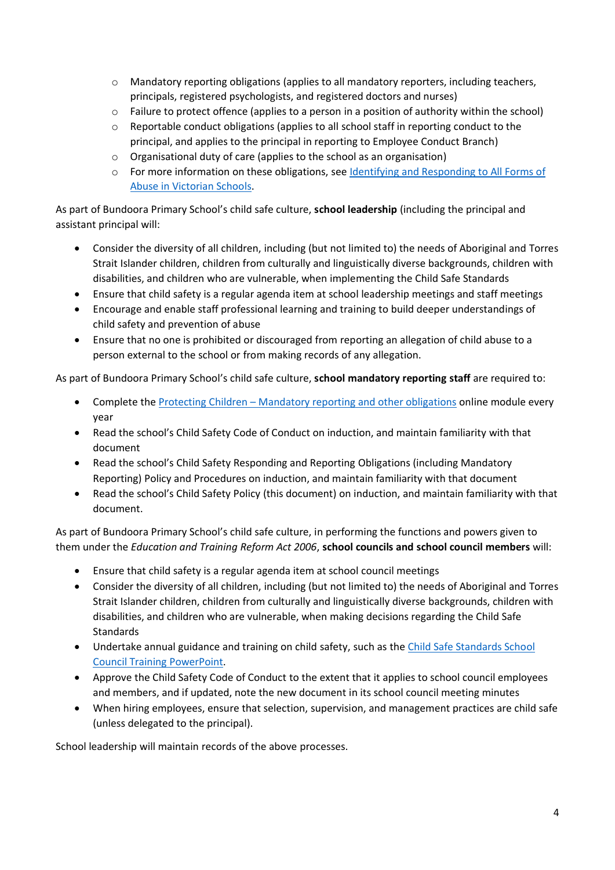- o Mandatory reporting obligations (applies to all mandatory reporters, including teachers, principals, registered psychologists, and registered doctors and nurses)
- o Failure to protect offence (applies to a person in a position of authority within the school)
- o Reportable conduct obligations (applies to all school staff in reporting conduct to the principal, and applies to the principal in reporting to Employee Conduct Branch)
- o Organisational duty of care (applies to the school as an organisation)
- o For more information on these obligations, see [Identifying and Responding to All Forms of](https://www.education.vic.gov.au/Documents/about/programs/health/protect/ChildSafeStandard5_SchoolsGuide.pdf)  [Abuse in Victorian Schools.](https://www.education.vic.gov.au/Documents/about/programs/health/protect/ChildSafeStandard5_SchoolsGuide.pdf)

As part of Bundoora Primary School's child safe culture, **school leadership** (including the principal and assistant principal will:

- Consider the diversity of all children, including (but not limited to) the needs of Aboriginal and Torres Strait Islander children, children from culturally and linguistically diverse backgrounds, children with disabilities, and children who are vulnerable, when implementing the Child Safe Standards
- Ensure that child safety is a regular agenda item at school leadership meetings and staff meetings
- Encourage and enable staff professional learning and training to build deeper understandings of child safety and prevention of abuse
- Ensure that no one is prohibited or discouraged from reporting an allegation of child abuse to a person external to the school or from making records of any allegation.

As part of Bundoora Primary School's child safe culture, **school mandatory reporting staff** are required to:

- Complete the Protecting Children [Mandatory reporting and other obligations](http://elearn.com.au/det/protectingchildren/) online module every year
- Read the school's Child Safety Code of Conduct on induction, and maintain familiarity with that document
- Read the school's Child Safety Responding and Reporting Obligations (including Mandatory Reporting) Policy and Procedures on induction, and maintain familiarity with that document
- Read the school's Child Safety Policy (this document) on induction, and maintain familiarity with that document.

As part of Bundoora Primary School's child safe culture, in performing the functions and powers given to them under the *Education and Training Reform Act 2006*, **school councils and school council members** will:

- Ensure that child safety is a regular agenda item at school council meetings
- Consider the diversity of all children, including (but not limited to) the needs of Aboriginal and Torres Strait Islander children, children from culturally and linguistically diverse backgrounds, children with disabilities, and children who are vulnerable, when making decisions regarding the Child Safe **Standards**
- Undertake annual guidance and training on child safety, such as the Child Safe Standards School [Council Training](https://www.education.vic.gov.au/Documents/about/programs/health/protect/school-council-training.pptx) PowerPoint.
- Approve the Child Safety Code of Conduct to the extent that it applies to school council employees and members, and if updated, note the new document in its school council meeting minutes
- When hiring employees, ensure that selection, supervision, and management practices are child safe (unless delegated to the principal).

School leadership will maintain records of the above processes.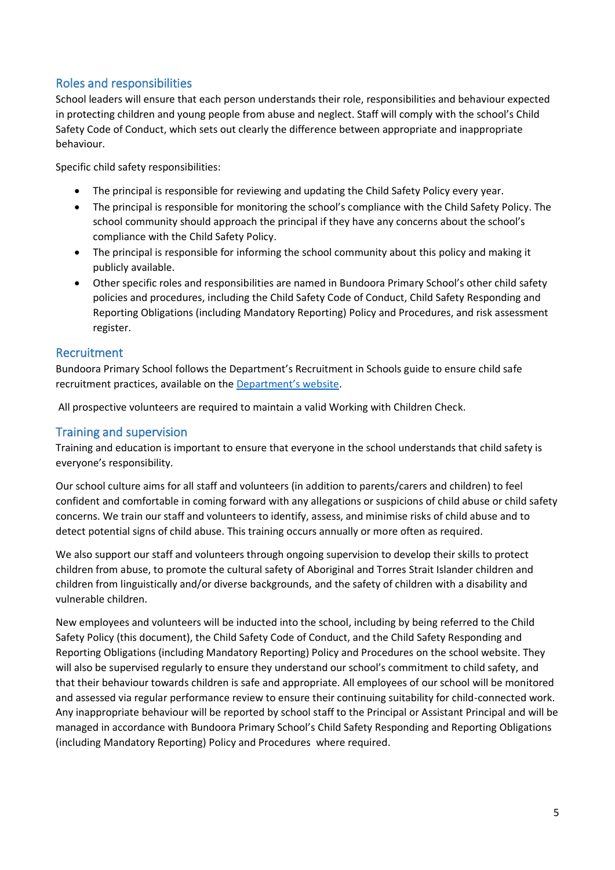# Roles and responsibilities

School leaders will ensure that each person understands their role, responsibilities and behaviour expected in protecting children and young people from abuse and neglect. Staff will comply with the school's Child Safety Code of Conduct, which sets out clearly the difference between appropriate and inappropriate behaviour.

Specific child safety responsibilities:

- The principal is responsible for reviewing and updating the Child Safety Policy every year.
- The principal is responsible for monitoring the school's compliance with the Child Safety Policy. The school community should approach the principal if they have any concerns about the school's compliance with the Child Safety Policy.
- The principal is responsible for informing the school community about this policy and making it publicly available.
- Other specific roles and responsibilities are named in Bundoora Primary School's other child safety policies and procedures, including the Child Safety Code of Conduct, Child Safety Responding and Reporting Obligations (including Mandatory Reporting) Policy and Procedures, and risk assessment register.

# Recruitment

Bundoora Primary School follows the Department's Recruitment in Schools guide to ensure child safe recruitment practices, available on the [Department'](https://www.education.vic.gov.au/hrweb/careers/Pages/recruitinsch.aspx)s website.

All prospective volunteers are required to maintain a valid Working with Children Check.

# Training and supervision

Training and education is important to ensure that everyone in the school understands that child safety is everyone's responsibility.

Our school culture aims for all staff and volunteers (in addition to parents/carers and children) to feel confident and comfortable in coming forward with any allegations or suspicions of child abuse or child safety concerns. We train our staff and volunteers to identify, assess, and minimise risks of child abuse and to detect potential signs of child abuse. This training occurs annually or more often as required.

We also support our staff and volunteers through ongoing supervision to develop their skills to protect children from abuse, to promote the cultural safety of Aboriginal and Torres Strait Islander children and children from linguistically and/or diverse backgrounds, and the safety of children with a disability and vulnerable children.

New employees and volunteers will be inducted into the school, including by being referred to the Child Safety Policy (this document), the Child Safety Code of Conduct, and the Child Safety Responding and Reporting Obligations (including Mandatory Reporting) Policy and Procedures on the school website. They will also be supervised regularly to ensure they understand our school's commitment to child safety, and that their behaviour towards children is safe and appropriate. All employees of our school will be monitored and assessed via regular performance review to ensure their continuing suitability for child-connected work. Any inappropriate behaviour will be reported by school staff to the Principal or Assistant Principal and will be managed in accordance with Bundoora Primary School's Child Safety Responding and Reporting Obligations (including Mandatory Reporting) Policy and Procedures where required.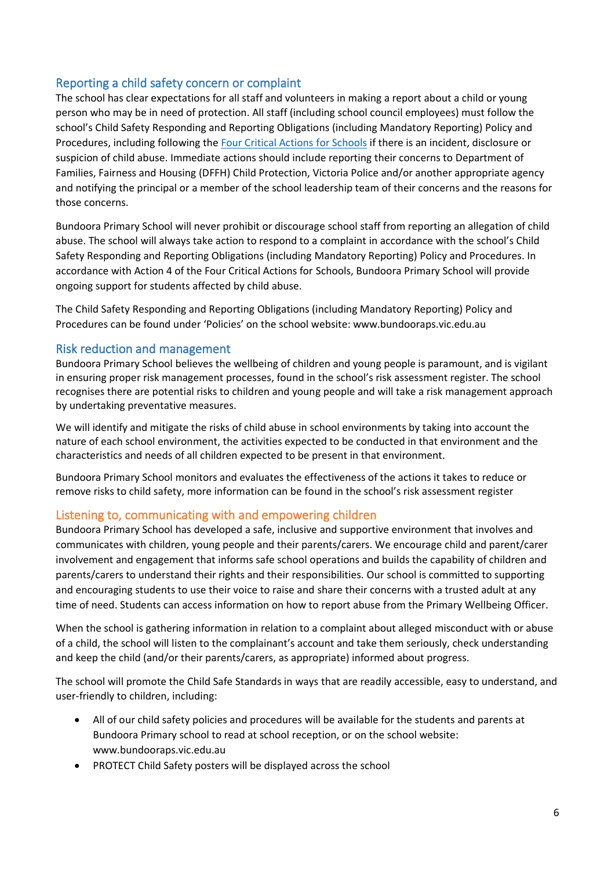# Reporting a child safety concern or complaint

The school has clear expectations for all staff and volunteers in making a report about a child or young person who may be in need of protection. All staff (including school council employees) must follow the school's Child Safety Responding and Reporting Obligations (including Mandatory Reporting) Policy and Procedures, including following the [Four Critical Actions for Schools](https://www.education.vic.gov.au/Documents/about/programs/health/protect/FourCriticalActions_ChildAbuse.pdf) if there is an incident, disclosure or suspicion of child abuse. Immediate actions should include reporting their concerns to Department of Families, Fairness and Housing (DFFH) Child Protection, Victoria Police and/or another appropriate agency and notifying the principal or a member of the school leadership team of their concerns and the reasons for those concerns.

Bundoora Primary School will never prohibit or discourage school staff from reporting an allegation of child abuse. The school will always take action to respond to a complaint in accordance with the school's Child Safety Responding and Reporting Obligations (including Mandatory Reporting) Policy and Procedures. In accordance with Action 4 of the Four Critical Actions for Schools, Bundoora Primary School will provide ongoing support for students affected by child abuse.

The Child Safety Responding and Reporting Obligations (including Mandatory Reporting) Policy and Procedures can be found under 'Policies' on the school website: www.bundooraps.vic.edu.au

### Risk reduction and management

Bundoora Primary School believes the wellbeing of children and young people is paramount, and is vigilant in ensuring proper risk management processes, found in the school's risk assessment register. The school recognises there are potential risks to children and young people and will take a risk management approach by undertaking preventative measures.

We will identify and mitigate the risks of child abuse in school environments by taking into account the nature of each school environment, the activities expected to be conducted in that environment and the characteristics and needs of all children expected to be present in that environment.

Bundoora Primary School monitors and evaluates the effectiveness of the actions it takes to reduce or remove risks to child safety, more information can be found in the school's risk assessment register

# Listening to, communicating with and empowering children

Bundoora Primary School has developed a safe, inclusive and supportive environment that involves and communicates with children, young people and their parents/carers. We encourage child and parent/carer involvement and engagement that informs safe school operations and builds the capability of children and parents/carers to understand their rights and their responsibilities. Our school is committed to supporting and encouraging students to use their voice to raise and share their concerns with a trusted adult at any time of need. Students can access information on how to report abuse from the Primary Wellbeing Officer.

When the school is gathering information in relation to a complaint about alleged misconduct with or abuse of a child, the school will listen to the complainant's account and take them seriously, check understanding and keep the child (and/or their parents/carers, as appropriate) informed about progress.

The school will promote the Child Safe Standards in ways that are readily accessible, easy to understand, and user-friendly to children, including:

- All of our child safety policies and procedures will be available for the students and parents at Bundoora Primary school to read at school reception, or on the school website: www.bundooraps.vic.edu.au
- PROTECT Child Safety posters will be displayed across the school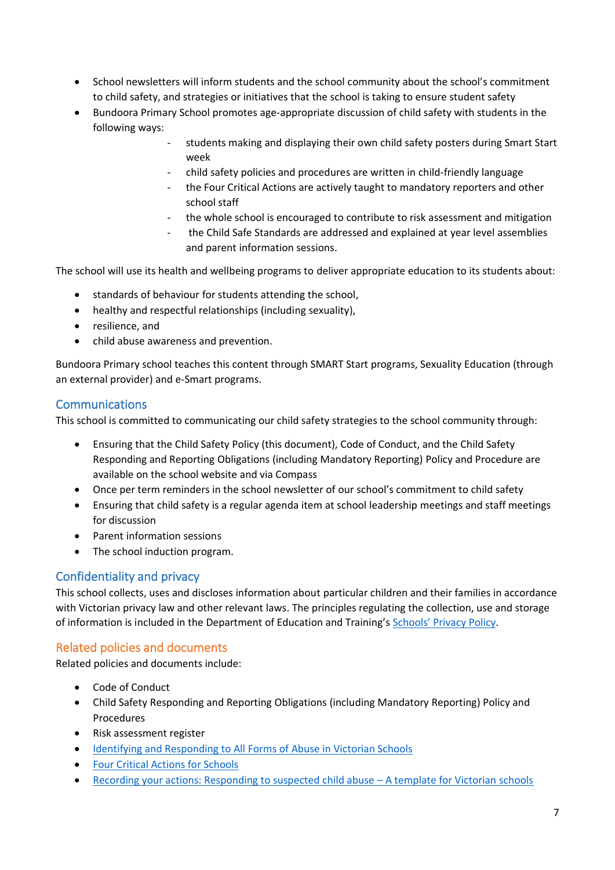- School newsletters will inform students and the school community about the school's commitment to child safety, and strategies or initiatives that the school is taking to ensure student safety
- Bundoora Primary School promotes age-appropriate discussion of child safety with students in the following ways:
	- students making and displaying their own child safety posters during Smart Start week
	- child safety policies and procedures are written in child-friendly language
	- the Four Critical Actions are actively taught to mandatory reporters and other school staff
	- the whole school is encouraged to contribute to risk assessment and mitigation
	- the Child Safe Standards are addressed and explained at year level assemblies and parent information sessions.

The school will use its health and wellbeing programs to deliver appropriate education to its students about:

- standards of behaviour for students attending the school,
- healthy and respectful relationships (including sexuality),
- resilience, and
- child abuse awareness and prevention.

Bundoora Primary school teaches this content through SMART Start programs, Sexuality Education (through an external provider) and e-Smart programs.

# **Communications**

This school is committed to communicating our child safety strategies to the school community through:

- Ensuring that the Child Safety Policy (this document), Code of Conduct, and the Child Safety Responding and Reporting Obligations (including Mandatory Reporting) Policy and Procedure are available on the school website and via Compass
- Once per term reminders in the school newsletter of our school's commitment to child safety
- Ensuring that child safety is a regular agenda item at school leadership meetings and staff meetings for discussion
- Parent information sessions
- The school induction program.

# Confidentiality and privacy

This school collects, uses and discloses information about particular children and their families in accordance with Victorian privacy law and other relevant laws. The principles regulating the collection, use and storage of information is included in the Department of Education and Training's Schools' [Privacy Policy.](https://www.education.vic.gov.au/Pages/schoolsprivacypolicy.aspx)

# Related policies and documents

Related policies and documents include:

- Code of Conduct
- Child Safety Responding and Reporting Obligations (including Mandatory Reporting) Policy and Procedures
- Risk assessment register
- [Identifying and Responding to All Forms of Abuse in Victorian Schools](https://www.education.vic.gov.au/Documents/about/programs/health/protect/ChildSafeStandard5_SchoolsGuide.pdf)
- [Four Critical Actions for Schools](https://www.education.vic.gov.au/Documents/about/programs/health/protect/FourCriticalActions_ChildAbuse.pdf)
- [Recording your actions: Responding to suspected child abuse](https://www.education.vic.gov.au/Documents/about/programs/health/protect/PROTECT_Schoolstemplate.pdf)  A template for Victorian schools